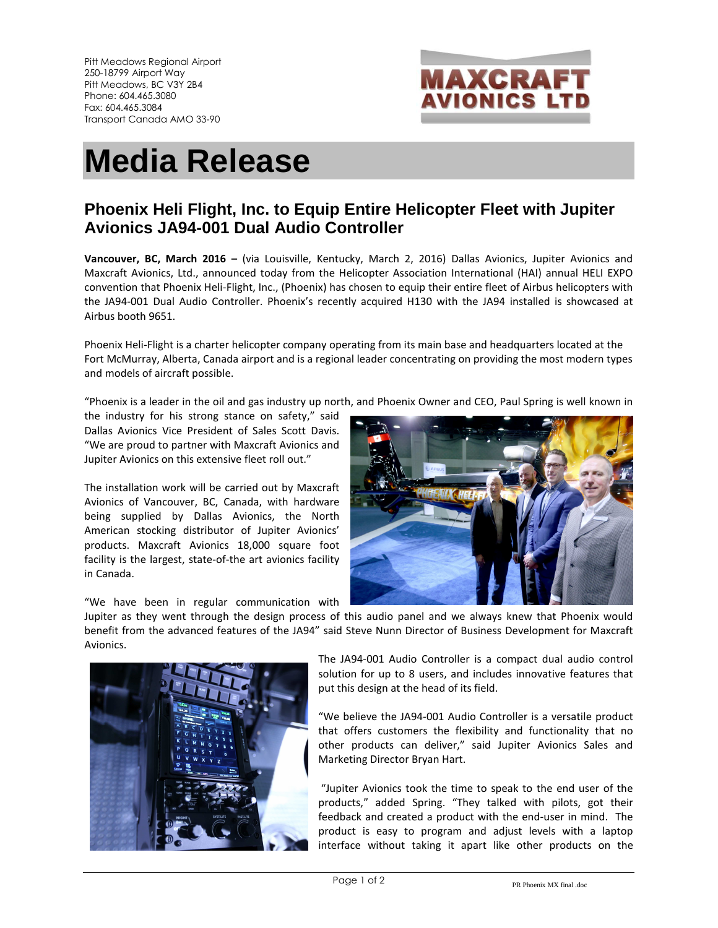

## **Media Release**

## **Phoenix Heli Flight, Inc. to Equip Entire Helicopter Fleet with Jupiter Avionics JA94-001 Dual Audio Controller**

**Vancouver, BC, March 2016 –** (via Louisville, Kentucky, March 2, 2016) Dallas Avionics, Jupiter Avionics and Maxcraft Avionics, Ltd., announced today from the Helicopter Association International (HAI) annual HELI EXPO convention that Phoenix Heli-Flight, Inc., (Phoenix) has chosen to equip their entire fleet of Airbus helicopters with the JA94-001 Dual Audio Controller. Phoenix's recently acquired H130 with the JA94 installed is showcased at Airbus booth 9651.

Phoenix Heli-Flight is a charter helicopter company operating from its main base and headquarters located at the Fort McMurray, Alberta, Canada airport and is a regional leader concentrating on providing the most modern types and models of aircraft possible.

"Phoenix is a leader in the oil and gas industry up north, and Phoenix Owner and CEO, Paul Spring is well known in

the industry for his strong stance on safety," said Dallas Avionics Vice President of Sales Scott Davis. "We are proud to partner with Maxcraft Avionics and Jupiter Avionics on this extensive fleet roll out."

The installation work will be carried out by Maxcraft Avionics of Vancouver, BC, Canada, with hardware being supplied by Dallas Avionics, the North American stocking distributor of Jupiter Avionics' products. Maxcraft Avionics 18,000 square foot facility is the largest, state-of-the art avionics facility in Canada.



"We have been in regular communication with

Jupiter as they went through the design process of this audio panel and we always knew that Phoenix would benefit from the advanced features of the JA94" said Steve Nunn Director of Business Development for Maxcraft Avionics.



The JA94-001 Audio Controller is a compact dual audio control solution for up to 8 users, and includes innovative features that put this design at the head of its field.

"We believe the JA94-001 Audio Controller is a versatile product that offers customers the flexibility and functionality that no other products can deliver," said Jupiter Avionics Sales and Marketing Director Bryan Hart.

 "Jupiter Avionics took the time to speak to the end user of the products," added Spring. "They talked with pilots, got their feedback and created a product with the end-user in mind. The product is easy to program and adjust levels with a laptop interface without taking it apart like other products on the